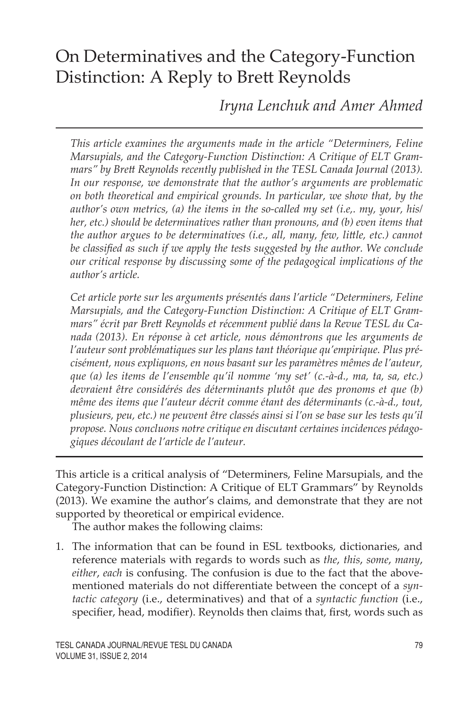# On Determinatives and the Category-Function Distinction: A Reply to Brett Reynolds

*Iryna Lenchuk and Amer Ahmed*

*This article examines the arguments made in the article "Determiners, Feline Marsupials, and the Category-Function Distinction: A Critique of ELT Grammars" by Brett Reynolds recently published in the TESL Canada Journal (2013). In our response, we demonstrate that the author's arguments are problematic on both theoretical and empirical grounds. In particular, we show that, by the author's own metrics, (a) the items in the so-called my set (i.e,. my, your, his/ her, etc.) should be determinatives rather than pronouns, and (b) even items that the author argues to be determinatives (i.e., all, many, few, little, etc.) cannot be classified as such if we apply the tests suggested by the author. We conclude our critical response by discussing some of the pedagogical implications of the author's article.* 

*Cet article porte sur les arguments présentés dans l'article "Determiners, Feline Marsupials, and the Category-Function Distinction: A Critique of ELT Grammars" écrit par Brett Reynolds et récemment publié dans la Revue TESL du Canada (2013). En réponse à cet article, nous démontrons que les arguments de l'auteur sont problématiques sur les plans tant théorique qu'empirique. Plus précisément, nous expliquons, en nous basant sur les paramètres mêmes de l'auteur, que (a) les items de l'ensemble qu'il nomme 'my set' (c.-à-d., ma, ta, sa, etc.) devraient être considérés des déterminants plutôt que des pronoms et que (b) même des items que l'auteur décrit comme étant des déterminants (c.-à-d., tout, plusieurs, peu, etc.) ne peuvent être classés ainsi si l'on se base sur les tests qu'il propose. Nous concluons notre critique en discutant certaines incidences pédagogiques découlant de l'article de l'auteur.* 

This article is a critical analysis of "Determiners, Feline Marsupials, and the Category-Function Distinction: A Critique of ELT Grammars" by Reynolds (2013). We examine the author's claims, and demonstrate that they are not supported by theoretical or empirical evidence.

The author makes the following claims:

1. The information that can be found in ESL textbooks, dictionaries, and reference materials with regards to words such as *the*, *this*, *some*, *many*, *either*, *each* is confusing. The confusion is due to the fact that the abovementioned materials do not differentiate between the concept of a *syntactic category* (i.e., determinatives) and that of a *syntactic function* (i.e., specifier, head, modifier). Reynolds then claims that, first, words such as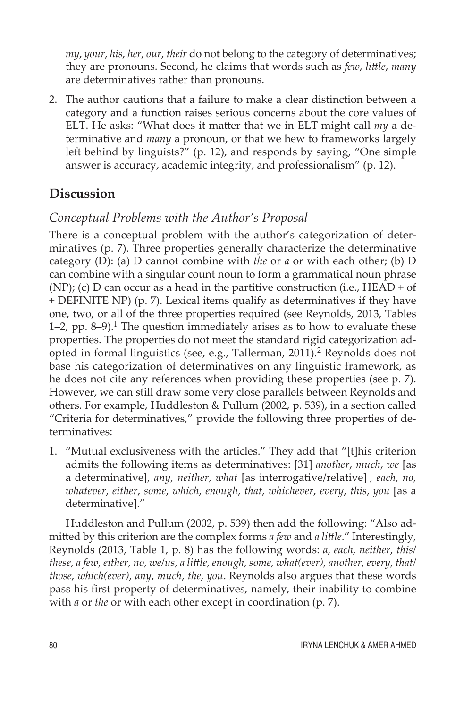*my*, *your*, *his*, *her*, *our*, *their* do not belong to the category of determinatives; they are pronouns. Second, he claims that words such as *few*, *little*, *many*  are determinatives rather than pronouns.

2. The author cautions that a failure to make a clear distinction between a category and a function raises serious concerns about the core values of ELT. He asks: "What does it matter that we in ELT might call *my* a determinative and *many* a pronoun, or that we hew to frameworks largely left behind by linguists?" (p. 12), and responds by saying, "One simple answer is accuracy, academic integrity, and professionalism" (p. 12).

# **Discussion**

# *Conceptual Problems with the Author's Proposal*

There is a conceptual problem with the author's categorization of determinatives (p. 7). Three properties generally characterize the determinative category (D): (a) D cannot combine with *the* or *a* or with each other; (b) D can combine with a singular count noun to form a grammatical noun phrase (NP); (c) D can occur as a head in the partitive construction (i.e.,  $HEAD + of$ + DEFINITE NP) (p. 7). Lexical items qualify as determinatives if they have one, two, or all of the three properties required (see Reynolds, 2013, Tables 1–2, pp. 8–9).<sup>1</sup> The question immediately arises as to how to evaluate these properties. The properties do not meet the standard rigid categorization adopted in formal linguistics (see, e.g., Tallerman,  $2011$ ).<sup>2</sup> Reynolds does not base his categorization of determinatives on any linguistic framework, as he does not cite any references when providing these properties (see p. 7). However, we can still draw some very close parallels between Reynolds and others. For example, Huddleston & Pullum (2002, p. 539), in a section called "Criteria for determinatives," provide the following three properties of determinatives:

1. "Mutual exclusiveness with the articles." They add that "[t]his criterion admits the following items as determinatives: [31] *another*, *much*, *we* [as a determinative], *any*, *neither*, *what* [as interrogative/relative] , *each*, *no*, *whatever*, *either*, *some*, *which*, *enough*, *that*, *whichever*, *every*, *this*, *you* [as a determinative]."

Huddleston and Pullum (2002, p. 539) then add the following: "Also admitted by this criterion are the complex forms *a few* and *a little*." Interestingly, Reynolds (2013, Table 1, p. 8) has the following words: *a*, *each*, *neither*, *this/ these*, *a few*, *either*, *no*, *we/us*, *a little*, *enough*, *some*, *what(ever)*, *another*, *every*, *that/ those*, *which(ever)*, *any*, *much*, *the*, *you*. Reynolds also argues that these words pass his first property of determinatives, namely, their inability to combine with *a* or *the* or with each other except in coordination (p. 7).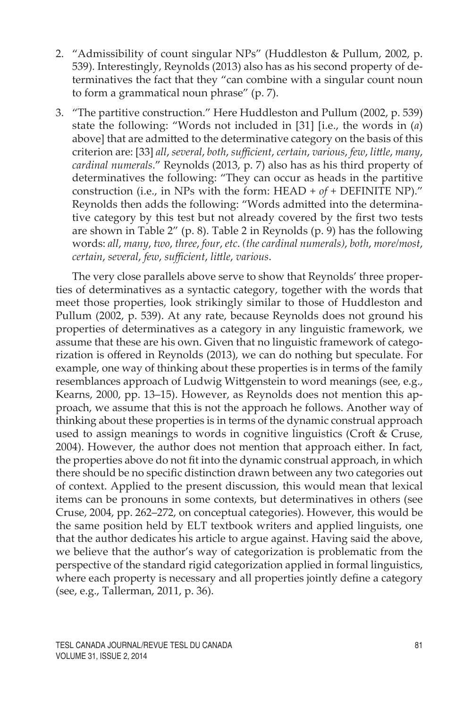- 2. "Admissibility of count singular NPs" (Huddleston & Pullum, 2002, p. 539). Interestingly, Reynolds (2013) also has as his second property of determinatives the fact that they "can combine with a singular count noun to form a grammatical noun phrase" (p. 7).
- 3. "The partitive construction." Here Huddleston and Pullum (2002, p. 539) state the following: "Words not included in [31] [i.e., the words in (*a*) above] that are admitted to the determinative category on the basis of this criterion are: [33] *all*, *several*, *both*, *sufficient*, *certain*, *various*, *few*, *little*, *many*, *cardinal numerals*." Reynolds (2013, p. 7) also has as his third property of determinatives the following: "They can occur as heads in the partitive construction (i.e., in NPs with the form: HEAD + *of* + DEFINITE NP)." Reynolds then adds the following: "Words admitted into the determinative category by this test but not already covered by the first two tests are shown in Table 2" (p. 8). Table 2 in Reynolds (p. 9) has the following words: *all*, *many*, *two*, *three*, *four*, *etc*. *(the cardinal numerals)*, *both*, *more/most*, *certain*, *several*, *few*, *sufficient*, *little*, *various*.

The very close parallels above serve to show that Reynolds' three properties of determinatives as a syntactic category, together with the words that meet those properties, look strikingly similar to those of Huddleston and Pullum (2002, p. 539). At any rate, because Reynolds does not ground his properties of determinatives as a category in any linguistic framework, we assume that these are his own. Given that no linguistic framework of categorization is offered in Reynolds (2013), we can do nothing but speculate. For example, one way of thinking about these properties is in terms of the family resemblances approach of Ludwig Wittgenstein to word meanings (see, e.g., Kearns, 2000, pp. 13–15). However, as Reynolds does not mention this approach, we assume that this is not the approach he follows. Another way of thinking about these properties is in terms of the dynamic construal approach used to assign meanings to words in cognitive linguistics (Croft & Cruse, 2004). However, the author does not mention that approach either. In fact, the properties above do not fit into the dynamic construal approach, in which there should be no specific distinction drawn between any two categories out of context. Applied to the present discussion, this would mean that lexical items can be pronouns in some contexts, but determinatives in others (see Cruse, 2004, pp. 262–272, on conceptual categories). However, this would be the same position held by ELT textbook writers and applied linguists, one that the author dedicates his article to argue against. Having said the above, we believe that the author's way of categorization is problematic from the perspective of the standard rigid categorization applied in formal linguistics, where each property is necessary and all properties jointly define a category (see, e.g., Tallerman, 2011, p. 36).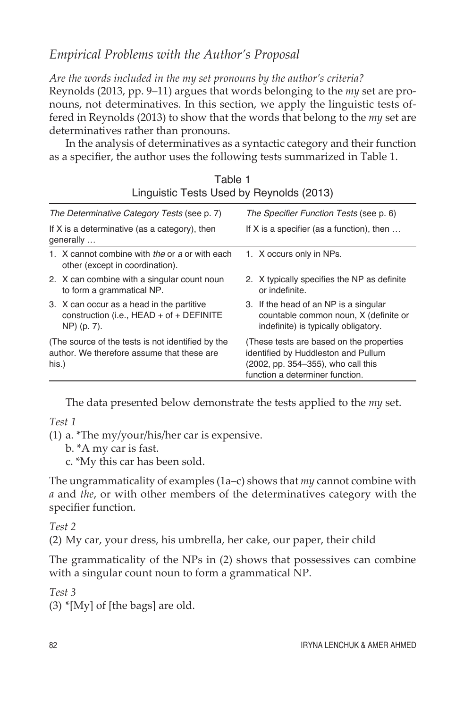# *Empirical Problems with the Author's Proposal*

*Are the words included in the my set pronouns by the author's criteria?* Reynolds (2013, pp. 9–11) argues that words belonging to the *my* set are pronouns, not determinatives. In this section, we apply the linguistic tests offered in Reynolds (2013) to show that the words that belong to the *my* set are determinatives rather than pronouns.

In the analysis of determinatives as a syntactic category and their function as a specifier, the author uses the following tests summarized in Table 1.

| Linguistic Tests Osed by Revillorus (2013)                                                               |                                                                                                                                                          |
|----------------------------------------------------------------------------------------------------------|----------------------------------------------------------------------------------------------------------------------------------------------------------|
| The Determinative Category Tests (see p. 7)                                                              | The Specifier Function Tests (see p. 6)                                                                                                                  |
| If X is a determinative (as a category), then<br>generally                                               | If X is a specifier (as a function), then $\dots$                                                                                                        |
| 1. X cannot combine with the or a or with each<br>other (except in coordination).                        | 1. X occurs only in NPs.                                                                                                                                 |
| 2. X can combine with a singular count noun<br>to form a grammatical NP.                                 | 2. X typically specifies the NP as definite<br>or indefinite.                                                                                            |
| 3. X can occur as a head in the partitive<br>construction (i.e., $HEAD + of + DEFINITE$ )<br>NP) (p. 7). | 3. If the head of an NP is a singular<br>countable common noun, X (definite or<br>indefinite) is typically obligatory.                                   |
| (The source of the tests is not identified by the<br>author. We therefore assume that these are<br>his.) | (These tests are based on the properties<br>identified by Huddleston and Pullum<br>(2002, pp. 354–355), who call this<br>function a determiner function. |

Table 1 Linguistic Tests Used by Reynolds (2013)

The data presented below demonstrate the tests applied to the *my* set.

*Test 1*

(1) a. \*The my/your/his/her car is expensive.

b. \*A my car is fast.

c. \*My this car has been sold.

The ungrammaticality of examples (1a–c) shows that *my* cannot combine with *a* and *the*, or with other members of the determinatives category with the specifier function.

## *Test 2*

(2) My car, your dress, his umbrella, her cake, our paper, their child

The grammaticality of the NPs in (2) shows that possessives can combine with a singular count noun to form a grammatical NP.

*Test 3*

 $(3)$  \*[My] of [the bags] are old.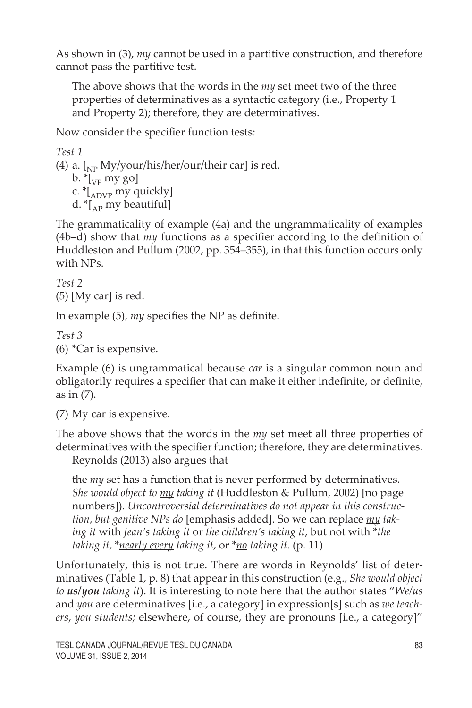As shown in (3), *my* cannot be used in a partitive construction, and therefore cannot pass the partitive test.

The above shows that the words in the *my* set meet two of the three properties of determinatives as a syntactic category (i.e., Property 1 and Property 2); therefore, they are determinatives.

Now consider the specifier function tests:

```
Test 1
```
(4) a.  $\int_{NP} \frac{My/your/his/her/our/their car}$  is red. b.  $\binom{1}{VP}$  my go] c.  $\binom{4}{\text{ADVP}}$  my quickly]

d.  $\binom{[A]}{[A]}$  my beautiful]

The grammaticality of example (4a) and the ungrammaticality of examples (4b–d) show that *my* functions as a specifier according to the definition of Huddleston and Pullum (2002, pp. 354–355), in that this function occurs only with NPs.

*Test 2* (5) [My car] is red.

In example (5), *my* specifies the NP as definite.

*Test 3* (6) \*Car is expensive.

Example (6) is ungrammatical because *car* is a singular common noun and obligatorily requires a specifier that can make it either indefinite, or definite, as in (7).

(7) My car is expensive.

The above shows that the words in the *my* set meet all three properties of determinatives with the specifier function; therefore, they are determinatives.

Reynolds (2013) also argues that

the *my* set has a function that is never performed by determinatives. *She would object to my taking it* (Huddleston & Pullum, 2002) [no page numbers]). *Uncontroversial determinatives do not appear in this construction*, *but genitive NPs do* [emphasis added]. So we can replace *my taking it* with *Jean's taking it* or *the children's taking it*, but not with \**the taking it*, \**nearly every taking it*, or \**no taking it*. (p. 11)

Unfortunately, this is not true. There are words in Reynolds' list of determinatives (Table 1, p. 8) that appear in this construction (e.g., *She would object to us/you taking it*). It is interesting to note here that the author states "*We/us* and *you* are determinatives [i.e., a category] in expression[s] such as *we teachers*, *you students;* elsewhere, of course, they are pronouns [i.e., a category]"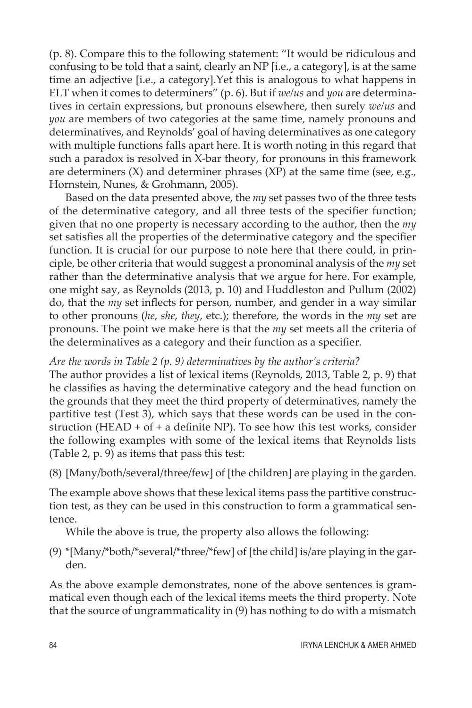(p. 8). Compare this to the following statement: "It would be ridiculous and confusing to be told that a saint, clearly an NP [i.e., a category], is at the same time an adjective [i.e., a category].Yet this is analogous to what happens in ELT when it comes to determiners" (p. 6). But if *we/us* and *you* are determinatives in certain expressions, but pronouns elsewhere, then surely *we/us* and *you* are members of two categories at the same time, namely pronouns and determinatives, and Reynolds' goal of having determinatives as one category with multiple functions falls apart here. It is worth noting in this regard that such a paradox is resolved in X-bar theory, for pronouns in this framework are determiners  $(X)$  and determiner phrases  $(XP)$  at the same time (see, e.g., Hornstein, Nunes, & Grohmann, 2005).

Based on the data presented above, the *my* set passes two of the three tests of the determinative category, and all three tests of the specifier function; given that no one property is necessary according to the author, then the *my* set satisfies all the properties of the determinative category and the specifier function. It is crucial for our purpose to note here that there could, in principle, be other criteria that would suggest a pronominal analysis of the *my* set rather than the determinative analysis that we argue for here. For example, one might say, as Reynolds (2013, p. 10) and Huddleston and Pullum (2002) do, that the *my* set inflects for person, number, and gender in a way similar to other pronouns (*he*, *she*, *they*, etc.); therefore, the words in the *my* set are pronouns. The point we make here is that the *my* set meets all the criteria of the determinatives as a category and their function as a specifier.

#### *Are the words in Table 2 (p. 9) determinatives by the author's criteria?*

The author provides a list of lexical items (Reynolds, 2013, Table 2, p. 9) that he classifies as having the determinative category and the head function on the grounds that they meet the third property of determinatives, namely the partitive test (Test 3), which says that these words can be used in the construction (HEAD + of + a definite NP). To see how this test works, consider the following examples with some of the lexical items that Reynolds lists (Table 2, p. 9) as items that pass this test:

(8) [Many/both/several/three/few] of [the children] are playing in the garden.

The example above shows that these lexical items pass the partitive construction test, as they can be used in this construction to form a grammatical sentence.

While the above is true, the property also allows the following:

(9) \*[Many/\*both/\*several/\*three/\*few] of [the child] is/are playing in the garden.

As the above example demonstrates, none of the above sentences is grammatical even though each of the lexical items meets the third property. Note that the source of ungrammaticality in (9) has nothing to do with a mismatch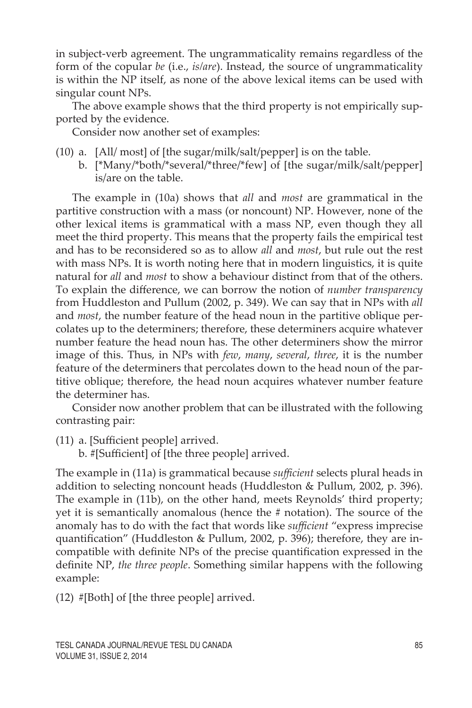in subject-verb agreement. The ungrammaticality remains regardless of the form of the copular *be* (i.e., *is/are*). Instead, the source of ungrammaticality is within the NP itself, as none of the above lexical items can be used with singular count NPs.

The above example shows that the third property is not empirically supported by the evidence.

Consider now another set of examples:

- (10) a. [All/ most] of [the sugar/milk/salt/pepper] is on the table.
	- b. [\*Many/\*both/\*several/\*three/\*few] of [the sugar/milk/salt/pepper] is/are on the table.

The example in (10a) shows that *all* and *most* are grammatical in the partitive construction with a mass (or noncount) NP. However, none of the other lexical items is grammatical with a mass NP, even though they all meet the third property. This means that the property fails the empirical test and has to be reconsidered so as to allow *all* and *most*, but rule out the rest with mass NPs. It is worth noting here that in modern linguistics, it is quite natural for *all* and *most* to show a behaviour distinct from that of the others. To explain the difference, we can borrow the notion of *number transparency* from Huddleston and Pullum (2002, p. 349). We can say that in NPs with *all* and *most*, the number feature of the head noun in the partitive oblique percolates up to the determiners; therefore, these determiners acquire whatever number feature the head noun has. The other determiners show the mirror image of this. Thus, in NPs with *few*, *many*, *several*, *three*, it is the number feature of the determiners that percolates down to the head noun of the partitive oblique; therefore, the head noun acquires whatever number feature the determiner has.

Consider now another problem that can be illustrated with the following contrasting pair:

(11) a. [Sufficient people] arrived.

b. #[Sufficient] of [the three people] arrived.

The example in (11a) is grammatical because *sufficient* selects plural heads in addition to selecting noncount heads (Huddleston & Pullum, 2002, p. 396). The example in (11b), on the other hand, meets Reynolds' third property; yet it is semantically anomalous (hence the # notation). The source of the anomaly has to do with the fact that words like *sufficient* "express imprecise quantification" (Huddleston & Pullum, 2002, p. 396); therefore, they are incompatible with definite NPs of the precise quantification expressed in the definite NP, *the three people*. Something similar happens with the following example:

(12) #[Both] of [the three people] arrived.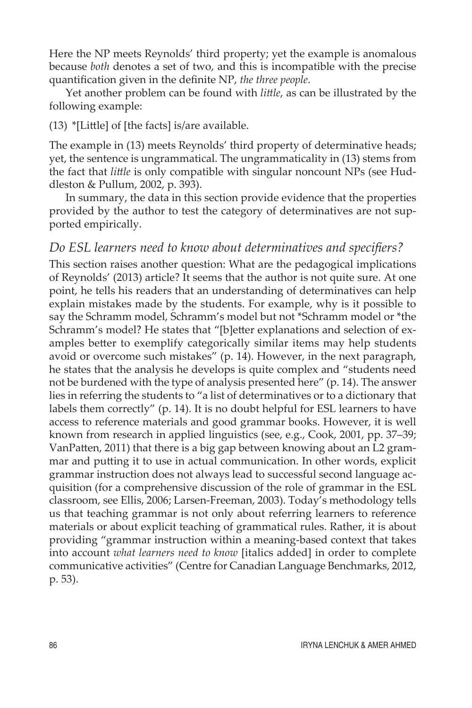Here the NP meets Reynolds' third property; yet the example is anomalous because *both* denotes a set of two, and this is incompatible with the precise quantification given in the definite NP, *the three people*.

Yet another problem can be found with *little*, as can be illustrated by the following example:

(13) \*[Little] of [the facts] is/are available.

The example in (13) meets Reynolds' third property of determinative heads; yet, the sentence is ungrammatical. The ungrammaticality in (13) stems from the fact that *little* is only compatible with singular noncount NPs (see Huddleston & Pullum, 2002, p. 393).

In summary, the data in this section provide evidence that the properties provided by the author to test the category of determinatives are not supported empirically.

## *Do ESL learners need to know about determinatives and specifiers?*

This section raises another question: What are the pedagogical implications of Reynolds' (2013) article? It seems that the author is not quite sure. At one point, he tells his readers that an understanding of determinatives can help explain mistakes made by the students. For example, why is it possible to say the Schramm model, Schramm's model but not \*Schramm model or \*the Schramm's model? He states that "[b]etter explanations and selection of examples better to exemplify categorically similar items may help students avoid or overcome such mistakes" (p. 14). However, in the next paragraph, he states that the analysis he develops is quite complex and "students need not be burdened with the type of analysis presented here" (p. 14). The answer lies in referring the students to "a list of determinatives or to a dictionary that labels them correctly" (p. 14). It is no doubt helpful for ESL learners to have access to reference materials and good grammar books. However, it is well known from research in applied linguistics (see, e.g., Cook, 2001, pp. 37–39; VanPatten, 2011) that there is a big gap between knowing about an L2 grammar and putting it to use in actual communication. In other words, explicit grammar instruction does not always lead to successful second language acquisition (for a comprehensive discussion of the role of grammar in the ESL classroom, see Ellis, 2006; Larsen-Freeman, 2003). Today's methodology tells us that teaching grammar is not only about referring learners to reference materials or about explicit teaching of grammatical rules. Rather, it is about providing "grammar instruction within a meaning-based context that takes into account *what learners need to know* [italics added] in order to complete communicative activities" (Centre for Canadian Language Benchmarks, 2012, p. 53).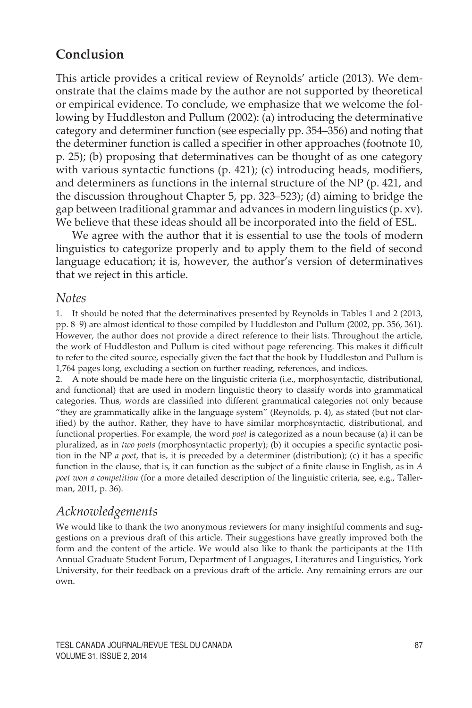# **Conclusion**

This article provides a critical review of Reynolds' article (2013). We demonstrate that the claims made by the author are not supported by theoretical or empirical evidence. To conclude, we emphasize that we welcome the following by Huddleston and Pullum (2002): (a) introducing the determinative category and determiner function (see especially pp. 354–356) and noting that the determiner function is called a specifier in other approaches (footnote 10, p. 25); (b) proposing that determinatives can be thought of as one category with various syntactic functions (p. 421); (c) introducing heads, modifiers, and determiners as functions in the internal structure of the NP (p. 421, and the discussion throughout Chapter 5, pp. 323–523); (d) aiming to bridge the gap between traditional grammar and advances in modern linguistics (p. xv). We believe that these ideas should all be incorporated into the field of ESL.

We agree with the author that it is essential to use the tools of modern linguistics to categorize properly and to apply them to the field of second language education; it is, however, the author's version of determinatives that we reject in this article.

### *Notes*

1. It should be noted that the determinatives presented by Reynolds in Tables 1 and 2 (2013, pp. 8–9) are almost identical to those compiled by Huddleston and Pullum (2002, pp. 356, 361). However, the author does not provide a direct reference to their lists. Throughout the article, the work of Huddleston and Pullum is cited without page referencing. This makes it difficult to refer to the cited source, especially given the fact that the book by Huddleston and Pullum is 1,764 pages long, excluding a section on further reading, references, and indices.

2. A note should be made here on the linguistic criteria (i.e., morphosyntactic, distributional, and functional) that are used in modern linguistic theory to classify words into grammatical categories. Thus, words are classified into different grammatical categories not only because "they are grammatically alike in the language system" (Reynolds, p. 4), as stated (but not clarified) by the author. Rather, they have to have similar morphosyntactic, distributional, and functional properties. For example, the word *poet* is categorized as a noun because (a) it can be pluralized, as in *two poets* (morphosyntactic property); (b) it occupies a specific syntactic position in the NP *a poet*, that is, it is preceded by a determiner (distribution); (c) it has a specific function in the clause, that is, it can function as the subject of a finite clause in English, as in *A poet won a competition* (for a more detailed description of the linguistic criteria, see, e.g., Tallerman, 2011, p. 36).

## *Acknowledgements*

We would like to thank the two anonymous reviewers for many insightful comments and suggestions on a previous draft of this article. Their suggestions have greatly improved both the form and the content of the article. We would also like to thank the participants at the 11th Annual Graduate Student Forum, Department of Languages, Literatures and Linguistics, York University, for their feedback on a previous draft of the article. Any remaining errors are our own.